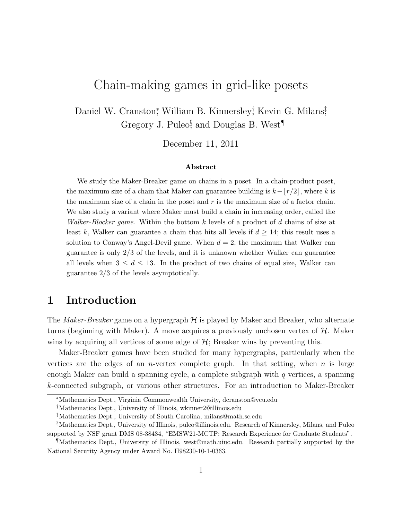# Chain-making games in grid-like posets

Daniel W. Cranston,<sup>\*</sup> William B. Kinnersley,† Kevin G. Milans,<sup>†</sup> Gregory J. Puleo<sup>§</sup> and Douglas B. West<sup>¶</sup>

December 11, 2011

#### Abstract

We study the Maker-Breaker game on chains in a poset. In a chain-product poset, the maximum size of a chain that Maker can guarantee building is  $k-|r/2|$ , where k is the maximum size of a chain in the poset and  $r$  is the maximum size of a factor chain. We also study a variant where Maker must build a chain in increasing order, called the *Walker-Blocker game.* Within the bottom k levels of a product of d chains of size at least k, Walker can guarantee a chain that hits all levels if  $d \geq 14$ ; this result uses a solution to Conway's Angel-Devil game. When  $d = 2$ , the maximum that Walker can guarantee is only 2/3 of the levels, and it is unknown whether Walker can guarantee all levels when  $3 \leq d \leq 13$ . In the product of two chains of equal size, Walker can guarantee 2/3 of the levels asymptotically.

### 1 Introduction

The *Maker-Breaker* game on a hypergraph  $H$  is played by Maker and Breaker, who alternate turns (beginning with Maker). A move acquires a previously unchosen vertex of  $H$ . Maker wins by acquiring all vertices of some edge of  $H$ ; Breaker wins by preventing this.

Maker-Breaker games have been studied for many hypergraphs, particularly when the vertices are the edges of an *n*-vertex complete graph. In that setting, when *n* is large enough Maker can build a spanning cycle, a complete subgraph with  $q$  vertices, a spanning k-connected subgraph, or various other structures. For an introduction to Maker-Breaker

<sup>∗</sup>Mathematics Dept., Virginia Commonwealth University, dcranston@vcu.edu

<sup>†</sup>Mathematics Dept., University of Illinois, wkinner2@illinois.edu

<sup>‡</sup>Mathematics Dept., University of South Carolina, milans@math.sc.edu

<sup>§</sup>Mathematics Dept., University of Illinois, puleo@illinois.edu. Research of Kinnersley, Milans, and Puleo supported by NSF grant DMS 08-38434, "EMSW21-MCTP: Research Experience for Graduate Students".

<sup>¶</sup>Mathematics Dept., University of Illinois, west@math.uiuc.edu. Research partially supported by the National Security Agency under Award No. H98230-10-1-0363.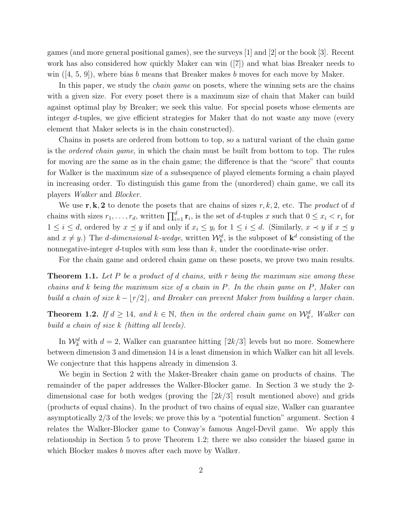games (and more general positional games), see the surveys [1] and [2] or the book [3]. Recent work has also considered how quickly Maker can win ([7]) and what bias Breaker needs to win  $([4, 5, 9])$ , where bias b means that Breaker makes b moves for each move by Maker.

In this paper, we study the *chain game* on posets, where the winning sets are the chains with a given size. For every poset there is a maximum size of chain that Maker can build against optimal play by Breaker; we seek this value. For special posets whose elements are integer d-tuples, we give efficient strategies for Maker that do not waste any move (every element that Maker selects is in the chain constructed).

Chains in posets are ordered from bottom to top, so a natural variant of the chain game is the ordered chain game, in which the chain must be built from bottom to top. The rules for moving are the same as in the chain game; the difference is that the "score" that counts for Walker is the maximum size of a subsequence of played elements forming a chain played in increasing order. To distinguish this game from the (unordered) chain game, we call its players Walker and Blocker.

We use  $\mathbf{r}, \mathbf{k}, 2$  to denote the posets that are chains of sizes  $r, k, 2$ , etc. The product of d chains with sizes  $r_1, \ldots, r_d$ , written  $\prod_{i=1}^d \mathbf{r}_i$ , is the set of d-tuples x such that  $0 \leq x_i < r_i$  for  $1 \leq i \leq d$ , ordered by  $x \leq y$  if and only if  $x_i \leq y_i$  for  $1 \leq i \leq d$ . (Similarly,  $x \prec y$  if  $x \preceq y$ and  $x \neq y$ .) The *d*-dimensional k-wedge, written  $\mathcal{W}_k^d$ , is the subposet of  $\mathbf{k}^d$  consisting of the nonnegative-integer  $d$ -tuples with sum less than  $k$ , under the coordinate-wise order.

For the chain game and ordered chain game on these posets, we prove two main results.

**Theorem 1.1.** Let P be a product of d chains, with r being the maximum size among these chains and k being the maximum size of a chain in P. In the chain game on P, Maker can build a chain of size  $k - |r/2|$ , and Breaker can prevent Maker from building a larger chain.

**Theorem 1.2.** If  $d \ge 14$ , and  $k \in \mathbb{N}$ , then in the ordered chain game on  $\mathcal{W}_k^d$ , Walker can build a chain of size k (hitting all levels).

In  $\mathcal{W}_k^d$  with  $d = 2$ , Walker can guarantee hitting  $\lceil 2k/3 \rceil$  levels but no more. Somewhere between dimension 3 and dimension 14 is a least dimension in which Walker can hit all levels. We conjecture that this happens already in dimension 3.

We begin in Section 2 with the Maker-Breaker chain game on products of chains. The remainder of the paper addresses the Walker-Blocker game. In Section 3 we study the 2 dimensional case for both wedges (proving the  $[2k/3]$  result mentioned above) and grids (products of equal chains). In the product of two chains of equal size, Walker can guarantee asymptotically 2/3 of the levels; we prove this by a "potential function" argument. Section 4 relates the Walker-Blocker game to Conway's famous Angel-Devil game. We apply this relationship in Section 5 to prove Theorem 1.2; there we also consider the biased game in which Blocker makes *b* moves after each move by Walker.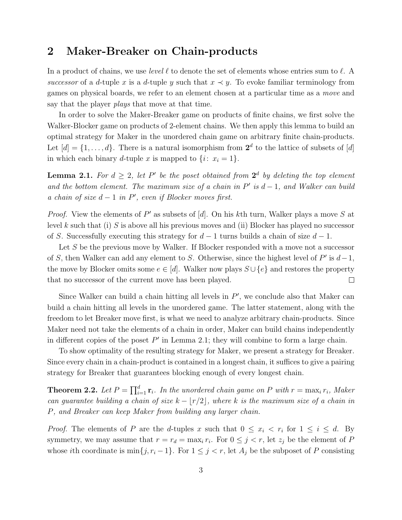#### 2 Maker-Breaker on Chain-products

In a product of chains, we use level  $\ell$  to denote the set of elements whose entries sum to  $\ell$ . A successor of a d-tuple x is a d-tuple y such that  $x \prec y$ . To evoke familiar terminology from games on physical boards, we refer to an element chosen at a particular time as a move and say that the player *plays* that move at that time.

In order to solve the Maker-Breaker game on products of finite chains, we first solve the Walker-Blocker game on products of 2-element chains. We then apply this lemma to build an optimal strategy for Maker in the unordered chain game on arbitrary finite chain-products. Let  $[d] = \{1, \ldots, d\}$ . There is a natural isomorphism from  $2^d$  to the lattice of subsets of  $[d]$ in which each binary d-tuple x is mapped to  $\{i: x_i = 1\}.$ 

**Lemma 2.1.** For  $d \geq 2$ , let P' be the poset obtained from  $2^d$  by deleting the top element and the bottom element. The maximum size of a chain in  $P'$  is  $d-1$ , and Walker can build a chain of size  $d-1$  in  $P'$ , even if Blocker moves first.

*Proof.* View the elements of  $P'$  as subsets of [d]. On his kth turn, Walker plays a move S at level k such that (i) S is above all his previous moves and (ii) Blocker has played no successor of S. Successfully executing this strategy for  $d-1$  turns builds a chain of size  $d-1$ .

Let S be the previous move by Walker. If Blocker responded with a move not a successor of S, then Walker can add any element to S. Otherwise, since the highest level of  $P'$  is  $d-1$ , the move by Blocker omits some  $e \in [d]$ . Walker now plays  $S \cup \{e\}$  and restores the property that no successor of the current move has been played.  $\Box$ 

Since Walker can build a chain hitting all levels in  $P'$ , we conclude also that Maker can build a chain hitting all levels in the unordered game. The latter statement, along with the freedom to let Breaker move first, is what we need to analyze arbitrary chain-products. Since Maker need not take the elements of a chain in order, Maker can build chains independently in different copies of the poset  $P'$  in Lemma 2.1; they will combine to form a large chain.

To show optimality of the resulting strategy for Maker, we present a strategy for Breaker. Since every chain in a chain-product is contained in a longest chain, it suffices to give a pairing strategy for Breaker that guarantees blocking enough of every longest chain.

**Theorem 2.2.** Let  $P = \prod_{i=1}^{d} \mathbf{r}_i$ . In the unordered chain game on P with  $r = \max_i r_i$ , Maker can guarantee building a chain of size  $k - |r/2|$ , where k is the maximum size of a chain in P, and Breaker can keep Maker from building any larger chain.

*Proof.* The elements of P are the d-tuples x such that  $0 \leq x_i \leq r_i$  for  $1 \leq i \leq d$ . By symmetry, we may assume that  $r = r_d = \max_i r_i$ . For  $0 \leq j < r$ , let  $z_j$  be the element of P whose *i*th coordinate is min $\{j, r_i - 1\}$ . For  $1 \leq j < r$ , let  $A_j$  be the subposet of P consisting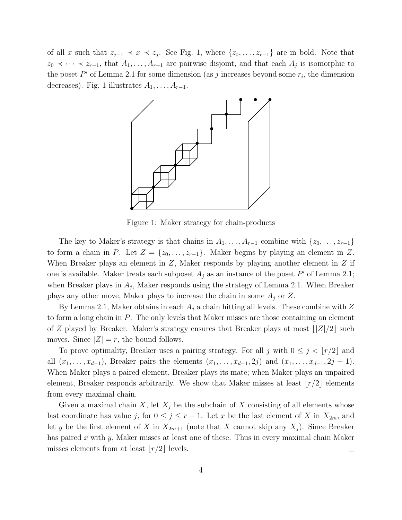of all x such that  $z_{j-1} \prec x \prec z_j$ . See Fig. 1, where  $\{z_0, \ldots, z_{r-1}\}$  are in bold. Note that  $z_0 \prec \cdots \prec z_{r-1}$ , that  $A_1, \ldots, A_{r-1}$  are pairwise disjoint, and that each  $A_j$  is isomorphic to the poset  $P'$  of Lemma 2.1 for some dimension (as j increases beyond some  $r_i$ , the dimension decreases). Fig. 1 illustrates  $A_1, \ldots, A_{r-1}$ .



Figure 1: Maker strategy for chain-products

The key to Maker's strategy is that chains in  $A_1, \ldots, A_{r-1}$  combine with  $\{z_0, \ldots, z_{r-1}\}$ to form a chain in P. Let  $Z = \{z_0, \ldots, z_{r-1}\}$ . Maker begins by playing an element in Z. When Breaker plays an element in  $Z$ , Maker responds by playing another element in  $Z$  if one is available. Maker treats each subposet  $A_j$  as an instance of the poset P' of Lemma 2.1; when Breaker plays in  $A_j$ , Maker responds using the strategy of Lemma 2.1. When Breaker plays any other move, Maker plays to increase the chain in some  $A_j$  or Z.

By Lemma 2.1, Maker obtains in each  $A_j$  a chain hitting all levels. These combine with Z to form a long chain in P. The only levels that Maker misses are those containing an element of Z played by Breaker. Maker's strategy ensures that Breaker plays at most  $\frac{|Z|}{2}$  such moves. Since  $|Z| = r$ , the bound follows.

To prove optimality, Breaker uses a pairing strategy. For all j with  $0 \leq j < \lfloor r/2 \rfloor$  and all  $(x_1, \ldots, x_{d-1})$ , Breaker pairs the elements  $(x_1, \ldots, x_{d-1}, 2j)$  and  $(x_1, \ldots, x_{d-1}, 2j + 1)$ . When Maker plays a paired element, Breaker plays its mate; when Maker plays an unpaired element, Breaker responds arbitrarily. We show that Maker misses at least  $|r/2|$  elements from every maximal chain.

Given a maximal chain X, let  $X_j$  be the subchain of X consisting of all elements whose last coordinate has value j, for  $0 \leq j \leq r-1$ . Let x be the last element of X in  $X_{2m}$ , and let y be the first element of X in  $X_{2m+1}$  (note that X cannot skip any  $X_j$ ). Since Breaker has paired x with y, Maker misses at least one of these. Thus in every maximal chain Maker misses elements from at least  $|r/2|$  levels.  $\Box$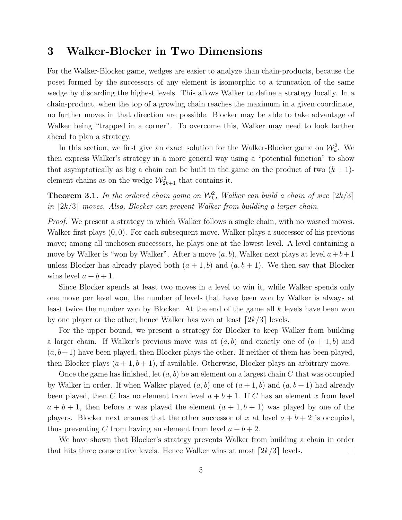#### 3 Walker-Blocker in Two Dimensions

For the Walker-Blocker game, wedges are easier to analyze than chain-products, because the poset formed by the successors of any element is isomorphic to a truncation of the same wedge by discarding the highest levels. This allows Walker to define a strategy locally. In a chain-product, when the top of a growing chain reaches the maximum in a given coordinate, no further moves in that direction are possible. Blocker may be able to take advantage of Walker being "trapped in a corner". To overcome this, Walker may need to look farther ahead to plan a strategy.

In this section, we first give an exact solution for the Walker-Blocker game on  $\mathcal{W}_k^2$ . We then express Walker's strategy in a more general way using a "potential function" to show that asymptotically as big a chain can be built in the game on the product of two  $(k + 1)$ element chains as on the wedge  $\mathcal{W}^2_{2k+1}$  that contains it.

**Theorem 3.1.** In the ordered chain game on  $\mathcal{W}_k^2$ , Walker can build a chain of size  $\lceil 2k/3 \rceil$ in  $[2k/3]$  moves. Also, Blocker can prevent Walker from building a larger chain.

Proof. We present a strategy in which Walker follows a single chain, with no wasted moves. Walker first plays  $(0, 0)$ . For each subsequent move, Walker plays a successor of his previous move; among all unchosen successors, he plays one at the lowest level. A level containing a move by Walker is "won by Walker". After a move  $(a, b)$ , Walker next plays at level  $a+b+1$ unless Blocker has already played both  $(a + 1, b)$  and  $(a, b + 1)$ . We then say that Blocker wins level  $a + b + 1$ .

Since Blocker spends at least two moves in a level to win it, while Walker spends only one move per level won, the number of levels that have been won by Walker is always at least twice the number won by Blocker. At the end of the game all  $k$  levels have been won by one player or the other; hence Walker has won at least  $[2k/3]$  levels.

For the upper bound, we present a strategy for Blocker to keep Walker from building a larger chain. If Walker's previous move was at  $(a, b)$  and exactly one of  $(a + 1, b)$  and  $(a, b+1)$  have been played, then Blocker plays the other. If neither of them has been played, then Blocker plays  $(a + 1, b + 1)$ , if available. Otherwise, Blocker plays an arbitrary move.

Once the game has finished, let  $(a, b)$  be an element on a largest chain C that was occupied by Walker in order. If when Walker played  $(a, b)$  one of  $(a + 1, b)$  and  $(a, b + 1)$  had already been played, then C has no element from level  $a + b + 1$ . If C has an element x from level  $a + b + 1$ , then before x was played the element  $(a + 1, b + 1)$  was played by one of the players. Blocker next ensures that the other successor of x at level  $a + b + 2$  is occupied, thus preventing C from having an element from level  $a + b + 2$ .

We have shown that Blocker's strategy prevents Walker from building a chain in order that hits three consecutive levels. Hence Walker wins at most  $\lceil 2k/3 \rceil$  levels.  $\Box$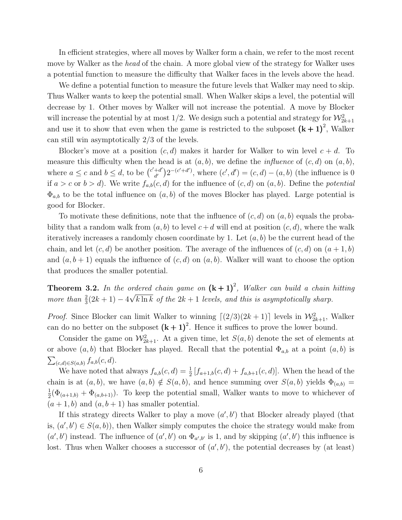In efficient strategies, where all moves by Walker form a chain, we refer to the most recent move by Walker as the *head* of the chain. A more global view of the strategy for Walker uses a potential function to measure the difficulty that Walker faces in the levels above the head.

We define a potential function to measure the future levels that Walker may need to skip. Thus Walker wants to keep the potential small. When Walker skips a level, the potential will decrease by 1. Other moves by Walker will not increase the potential. A move by Blocker will increase the potential by at most 1/2. We design such a potential and strategy for  $\mathcal{W}_{2k+1}^2$ and use it to show that even when the game is restricted to the subposet  $(k + 1)^2$ , Walker can still win asymptotically 2/3 of the levels.

Blocker's move at a position  $(c, d)$  makes it harder for Walker to win level  $c + d$ . To measure this difficulty when the head is at  $(a, b)$ , we define the *influence* of  $(c, d)$  on  $(a, b)$ , where  $a \leq c$  and  $b \leq d$ , to be  $\binom{c'+d'}{d'}$  $\binom{+d'}{d'} 2^{-(c'+d')}$ , where  $(c', d') = (c, d) - (a, b)$  (the influence is 0 if  $a > c$  or  $b > d$ ). We write  $f_{a,b}(c,d)$  for the influence of  $(c,d)$  on  $(a,b)$ . Define the *potential*  $\Phi_{a,b}$  to be the total influence on  $(a,b)$  of the moves Blocker has played. Large potential is good for Blocker.

To motivate these definitions, note that the influence of  $(c,d)$  on  $(a,b)$  equals the probability that a random walk from  $(a, b)$  to level  $c + d$  will end at position  $(c, d)$ , where the walk iteratively increases a randomly chosen coordinate by 1. Let  $(a, b)$  be the current head of the chain, and let  $(c, d)$  be another position. The average of the influences of  $(c, d)$  on  $(a + 1, b)$ and  $(a, b + 1)$  equals the influence of  $(c, d)$  on  $(a, b)$ . Walker will want to choose the option that produces the smaller potential.

**Theorem 3.2.** In the ordered chain game on  $(k + 1)^2$ , Walker can build a chain hitting more than  $\frac{2}{3}(2k+1) - 4\sqrt{k \ln k}$  of the  $2k+1$  levels, and this is asymptotically sharp.

*Proof.* Since Blocker can limit Walker to winning  $\lceil (2/3)(2k+1) \rceil$  levels in  $\mathcal{W}_{2k+1}^2$ , Walker can do no better on the subposet  $(k + 1)^2$ . Hence it suffices to prove the lower bound.

Consider the game on  $\mathcal{W}_{2k+1}^2$ . At a given time, let  $S(a, b)$  denote the set of elements at or above  $(a,b)$  that Blocker has played. Recall that the potential  $\Phi_{a,b}$  at a point  $(a,b)$  is  $\sum_{(c,d)\in S(a,b)} f_{a,b}(c,d).$ 

We have noted that always  $f_{a,b}(c,d) = \frac{1}{2} [f_{a+1,b}(c,d) + f_{a,b+1}(c,d)]$ . When the head of the chain is at  $(a,b)$ , we have  $(a,b) \notin S(a,b)$ , and hence summing over  $S(a,b)$  yields  $\Phi_{(a,b)} =$ 1  $\frac{1}{2}(\Phi_{(a+1,b)} + \Phi_{(a,b+1)})$ . To keep the potential small, Walker wants to move to whichever of  $(a + 1, b)$  and  $(a, b + 1)$  has smaller potential.

If this strategy directs Walker to play a move  $(a', b')$  that Blocker already played (that is,  $(a', b') \in S(a, b)$ , then Walker simply computes the choice the strategy would make from  $(a', b')$  instead. The influence of  $(a', b')$  on  $\Phi_{a', b'}$  is 1, and by skipping  $(a', b')$  this influence is lost. Thus when Walker chooses a successor of  $(a', b')$ , the potential decreases by (at least)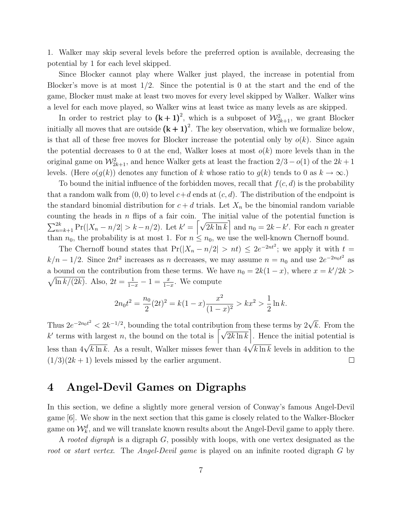1. Walker may skip several levels before the preferred option is available, decreasing the potential by 1 for each level skipped.

Since Blocker cannot play where Walker just played, the increase in potential from Blocker's move is at most  $1/2$ . Since the potential is 0 at the start and the end of the game, Blocker must make at least two moves for every level skipped by Walker. Walker wins a level for each move played, so Walker wins at least twice as many levels as are skipped.

In order to restrict play to  $(k + 1)^2$ , which is a subposet of  $\mathcal{W}_{2k+1}^2$ , we grant Blocker initially all moves that are outside  $(k + 1)^2$ . The key observation, which we formalize below, is that all of these free moves for Blocker increase the potential only by  $o(k)$ . Since again the potential decreases to 0 at the end, Walker loses at most  $o(k)$  more levels than in the original game on  $\mathcal{W}_{2k+1}^2$ , and hence Walker gets at least the fraction  $2/3 - o(1)$  of the  $2k+1$ levels. (Here  $o(g(k))$  denotes any function of k whose ratio to  $g(k)$  tends to 0 as  $k \to \infty$ .)

To bound the initial influence of the forbidden moves, recall that  $f(c,d)$  is the probability that a random walk from  $(0, 0)$  to level  $c+d$  ends at  $(c, d)$ . The distribution of the endpoint is the standard binomial distribution for  $c + d$  trials. Let  $X_n$  be the binomial random variable counting the heads in  $n$  flips of a fair coin. The initial value of the potential function is  $\sum_{n=k+1}^{2k} \Pr(|X_n - n/2| > k - n/2)$ . Let  $k' = \left[\sqrt{2k \ln k}\right]$  and  $n_0 = 2k - k'$ . For each n greater than  $n_0$ , the probability is at most 1. For  $n \leq n_0$ , we use the well-known Chernoff bound.

The Chernoff bound states that  $Pr(|X_n - n/2| > nt) \leq 2e^{-2nt^2}$ ; we apply it with  $t =$  $k/n - 1/2$ . Since  $2nt^2$  increases as n decreases, we may assume  $n = n_0$  and use  $2e^{-2n_0t^2}$  as a bound on the contribution from these terms. We have  $n_0 = 2k(1-x)$ , where  $x = k'/2k$  $\sqrt{\ln k/(2k)}$ . Also,  $2t = \frac{1}{1-x} - 1 = \frac{x}{1-x}$ . We compute

$$
2n_0t^2 = \frac{n_0}{2}(2t)^2 = k(1-x)\frac{x^2}{(1-x)^2} > kx^2 > \frac{1}{2}\ln k.
$$

Thus  $2e^{-2n_0t^2} < 2k^{-1/2}$ , bounding the total contribution from these terms by  $2\sqrt{k}$ . From the k' terms with largest n, the bound on the total is  $\left[\sqrt{2k \ln k}\right]$ . Hence the initial potential is less than  $4\sqrt{k \ln k}$ . As a result, Walker misses fewer than  $4\sqrt{k \ln k}$  levels in addition to the  $(1/3)(2k+1)$  levels missed by the earlier argument.  $\Box$ 

#### 4 Angel-Devil Games on Digraphs

In this section, we define a slightly more general version of Conway's famous Angel-Devil game [6]. We show in the next section that this game is closely related to the Walker-Blocker game on  $\mathcal{W}_k^d$ , and we will translate known results about the Angel-Devil game to apply there.

A rooted digraph is a digraph G, possibly with loops, with one vertex designated as the root or start vertex. The *Angel-Devil game* is played on an infinite rooted digraph G by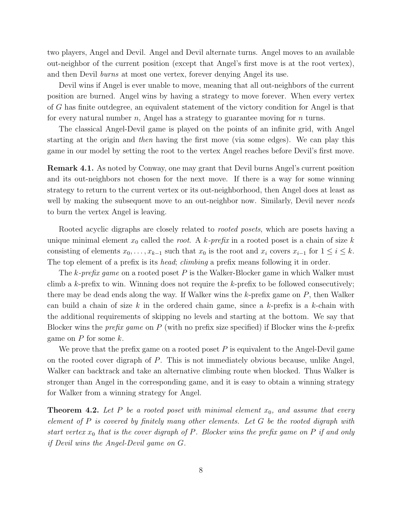two players, Angel and Devil. Angel and Devil alternate turns. Angel moves to an available out-neighbor of the current position (except that Angel's first move is at the root vertex), and then Devil burns at most one vertex, forever denying Angel its use.

Devil wins if Angel is ever unable to move, meaning that all out-neighbors of the current position are burned. Angel wins by having a strategy to move forever. When every vertex of G has finite outdegree, an equivalent statement of the victory condition for Angel is that for every natural number n, Angel has a strategy to guarantee moving for  $n$  turns.

The classical Angel-Devil game is played on the points of an infinite grid, with Angel starting at the origin and then having the first move (via some edges). We can play this game in our model by setting the root to the vertex Angel reaches before Devil's first move.

Remark 4.1. As noted by Conway, one may grant that Devil burns Angel's current position and its out-neighbors not chosen for the next move. If there is a way for some winning strategy to return to the current vertex or its out-neighborhood, then Angel does at least as well by making the subsequent move to an out-neighbor now. Similarly, Devil never needs to burn the vertex Angel is leaving.

Rooted acyclic digraphs are closely related to *rooted posets*, which are posets having a unique minimal element  $x_0$  called the *root*. A k-prefix in a rooted poset is a chain of size k consisting of elements  $x_0, \ldots, x_{k-1}$  such that  $x_0$  is the root and  $x_i$  covers  $x_{i-1}$  for  $1 \leq i \leq k$ . The top element of a prefix is its *head; climbing* a prefix means following it in order.

The k-prefix game on a rooted poset P is the Walker-Blocker game in which Walker must climb a k-prefix to win. Winning does not require the k-prefix to be followed consecutively; there may be dead ends along the way. If Walker wins the  $k$ -prefix game on  $P$ , then Walker can build a chain of size k in the ordered chain game, since a k-prefix is a k-chain with the additional requirements of skipping no levels and starting at the bottom. We say that Blocker wins the *prefix game* on P (with no prefix size specified) if Blocker wins the k-prefix game on  $P$  for some  $k$ .

We prove that the prefix game on a rooted poset  $P$  is equivalent to the Angel-Devil game on the rooted cover digraph of P. This is not immediately obvious because, unlike Angel, Walker can backtrack and take an alternative climbing route when blocked. Thus Walker is stronger than Angel in the corresponding game, and it is easy to obtain a winning strategy for Walker from a winning strategy for Angel.

**Theorem 4.2.** Let P be a rooted poset with minimal element  $x_0$ , and assume that every element of P is covered by finitely many other elements. Let G be the rooted digraph with start vertex  $x_0$  that is the cover digraph of P. Blocker wins the prefix game on P if and only if Devil wins the Angel-Devil game on G.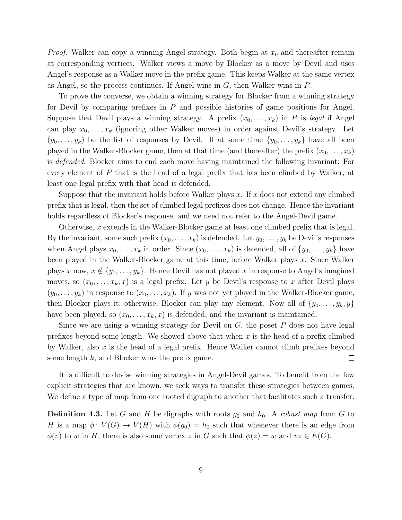*Proof.* Walker can copy a winning Angel strategy. Both begin at  $x_0$  and thereafter remain at corresponding vertices. Walker views a move by Blocker as a move by Devil and uses Angel's response as a Walker move in the prefix game. This keeps Walker at the same vertex as Angel, so the process continues. If Angel wins in  $G$ , then Walker wins in  $P$ .

To prove the converse, we obtain a winning strategy for Blocker from a winning strategy for Devil by comparing prefixes in  $P$  and possible histories of game positions for Angel. Suppose that Devil plays a winning strategy. A prefix  $(x_0, \ldots, x_k)$  in P is legal if Angel can play  $x_0, \ldots, x_k$  (ignoring other Walker moves) in order against Devil's strategy. Let  $(y_0, \ldots, y_k)$  be the list of responses by Devil. If at some time  $\{y_0, \ldots, y_k\}$  have all been played in the Walker-Blocker game, then at that time (and thereafter) the prefix  $(x_0, \ldots, x_k)$ is defended. Blocker aims to end each move having maintained the following invariant: For every element of P that is the head of a legal prefix that has been climbed by Walker, at least one legal prefix with that head is defended.

Suppose that the invariant holds before Walker plays  $x$ . If  $x$  does not extend any climbed prefix that is legal, then the set of climbed legal prefixes does not change. Hence the invariant holds regardless of Blocker's response, and we need not refer to the Angel-Devil game.

Otherwise, x extends in the Walker-Blocker game at least one climbed prefix that is legal. By the invariant, some such prefix  $(x_0, \ldots, x_k)$  is defended. Let  $y_0, \ldots, y_k$  be Devil's responses when Angel plays  $x_0, \ldots, x_k$  in order. Since  $(x_0, \ldots, x_k)$  is defended, all of  $\{y_0, \ldots, y_k\}$  have been played in the Walker-Blocker game at this time, before Walker plays x. Since Walker plays x now,  $x \notin \{y_0, \ldots, y_k\}$ . Hence Devil has not played x in response to Angel's imagined moves, so  $(x_0, \ldots, x_k, x)$  is a legal prefix. Let y be Devil's response to x after Devil plays  $(y_0,\ldots,y_k)$  in response to  $(x_0,\ldots,x_k)$ . If y was not yet played in the Walker-Blocker game, then Blocker plays it; otherwise, Blocker can play any element. Now all of  $\{y_0, \ldots, y_k, y\}$ have been played, so  $(x_0, \ldots, x_k, x)$  is defended, and the invariant is maintained.

Since we are using a winning strategy for Devil on  $G$ , the poset  $P$  does not have legal prefixes beyond some length. We showed above that when  $x$  is the head of a prefix climbed by Walker, also  $x$  is the head of a legal prefix. Hence Walker cannot climb prefixes beyond some length  $k$ , and Blocker wins the prefix game.  $\Box$ 

It is difficult to devise winning strategies in Angel-Devil games. To benefit from the few explicit strategies that are known, we seek ways to transfer these strategies between games. We define a type of map from one rooted digraph to another that facilitates such a transfer.

**Definition 4.3.** Let G and H be digraphs with roots  $g_0$  and  $h_0$ . A robust map from G to H is a map  $\phi: V(G) \to V(H)$  with  $\phi(g_0) = h_0$  such that whenever there is an edge from  $\phi(v)$  to w in H, there is also some vertex z in G such that  $\phi(z) = w$  and  $vz \in E(G)$ .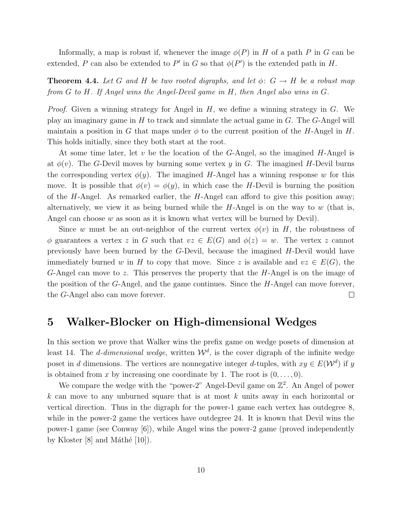Informally, a map is robust if, whenever the image  $\phi(P)$  in H of a path P in G can be extended, P can also be extended to P' in G so that  $\phi(P')$  is the extended path in H.

**Theorem 4.4.** Let G and H be two rooted digraphs, and let  $\phi: G \rightarrow H$  be a robust map from G to H. If Angel wins the Angel-Devil game in H, then Angel also wins in G.

*Proof.* Given a winning strategy for Angel in  $H$ , we define a winning strategy in  $G$ . We play an imaginary game in  $H$  to track and simulate the actual game in  $G$ . The  $G$ -Angel will maintain a position in G that maps under  $\phi$  to the current position of the H-Angel in H. This holds initially, since they both start at the root.

At some time later, let v be the location of the  $G$ -Angel, so the imagined  $H$ -Angel is at  $\phi(v)$ . The G-Devil moves by burning some vertex y in G. The imagined H-Devil burns the corresponding vertex  $\phi(y)$ . The imagined H-Angel has a winning response w for this move. It is possible that  $\phi(v) = \phi(y)$ , in which case the H-Devil is burning the position of the H-Angel. As remarked earlier, the H-Angel can afford to give this position away; alternatively, we view it as being burned while the  $H$ -Angel is on the way to w (that is, Angel can choose  $w$  as soon as it is known what vertex will be burned by Devil).

Since w must be an out-neighbor of the current vertex  $\phi(v)$  in H, the robustness of  $\phi$  guarantees a vertex z in G such that  $vz \in E(G)$  and  $\phi(z) = w$ . The vertex z cannot previously have been burned by the G-Devil, because the imagined H-Devil would have immediately burned w in H to copy that move. Since z is available and  $vz \in E(G)$ , the G-Angel can move to z. This preserves the property that the H-Angel is on the image of the position of the G-Angel, and the game continues. Since the  $H$ -Angel can move forever, the G-Angel also can move forever.  $\Box$ 

#### 5 Walker-Blocker on High-dimensional Wedges

In this section we prove that Walker wins the prefix game on wedge posets of dimension at least 14. The *d*-dimensional wedge, written  $\mathcal{W}^d$ , is the cover digraph of the infinite wedge poset in d dimensions. The vertices are nonnegative integer d-tuples, with  $xy \in E(\mathcal{W}^d)$  if y is obtained from x by increasing one coordinate by 1. The root is  $(0,\ldots,0)$ .

We compare the wedge with the "power-2" Angel-Devil game on  $\mathbb{Z}^2$ . An Angel of power  $k$  can move to any unburned square that is at most  $k$  units away in each horizontal or vertical direction. Thus in the digraph for the power-1 game each vertex has outdegree 8, while in the power-2 game the vertices have outdegree 24. It is known that Devil wins the power-1 game (see Conway [6]), while Angel wins the power-2 game (proved independently by Kloster  $[8]$  and Máthé  $[10]$ ).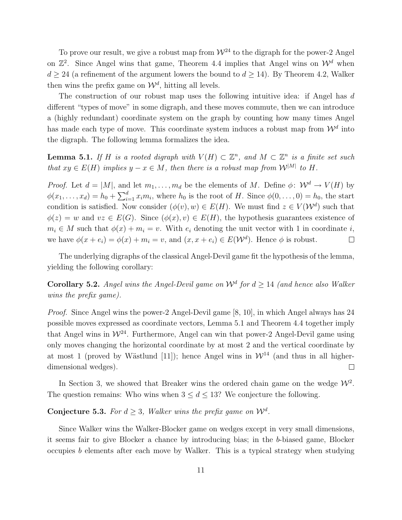To prove our result, we give a robust map from  $\mathcal{W}^{24}$  to the digraph for the power-2 Angel on  $\mathbb{Z}^2$ . Since Angel wins that game, Theorem 4.4 implies that Angel wins on  $\mathcal{W}^d$  when  $d \geq 24$  (a refinement of the argument lowers the bound to  $d \geq 14$ ). By Theorem 4.2, Walker then wins the prefix game on  $\mathcal{W}^d$ , hitting all levels.

The construction of our robust map uses the following intuitive idea: if Angel has d different "types of move" in some digraph, and these moves commute, then we can introduce a (highly redundant) coordinate system on the graph by counting how many times Angel has made each type of move. This coordinate system induces a robust map from  $\mathcal{W}^d$  into the digraph. The following lemma formalizes the idea.

**Lemma 5.1.** If H is a rooted digraph with  $V(H) \subset \mathbb{Z}^n$ , and  $M \subset \mathbb{Z}^n$  is a finite set such that  $xy \in E(H)$  implies  $y - x \in M$ , then there is a robust map from  $\mathcal{W}^{|M|}$  to H.

*Proof.* Let  $d = |M|$ , and let  $m_1, \ldots, m_d$  be the elements of M. Define  $\phi: \mathcal{W}^d \to V(H)$  by  $\phi(x_1,\ldots,x_d) = h_0 + \sum_{i=1}^d x_i m_i$ , where  $h_0$  is the root of H. Since  $\phi(0,\ldots,0) = h_0$ , the start condition is satisfied. Now consider  $(\phi(v), w) \in E(H)$ . We must find  $z \in V(\mathcal{W}^d)$  such that  $\phi(z) = w$  and  $vz \in E(G)$ . Since  $(\phi(x), v) \in E(H)$ , the hypothesis guarantees existence of  $m_i \in M$  such that  $\phi(x) + m_i = v$ . With  $e_i$  denoting the unit vector with 1 in coordinate i, we have  $\phi(x + e_i) = \phi(x) + m_i = v$ , and  $(x, x + e_i) \in E(\mathcal{W}^d)$ . Hence  $\phi$  is robust.  $\Box$ 

The underlying digraphs of the classical Angel-Devil game fit the hypothesis of the lemma, yielding the following corollary:

**Corollary 5.2.** Angel wins the Angel-Devil game on  $\mathcal{W}^d$  for  $d \geq 14$  (and hence also Walker wins the prefix game).

Proof. Since Angel wins the power-2 Angel-Devil game [8, 10], in which Angel always has 24 possible moves expressed as coordinate vectors, Lemma 5.1 and Theorem 4.4 together imply that Angel wins in  $\mathcal{W}^{24}$ . Furthermore, Angel can win that power-2 Angel-Devil game using only moves changing the horizontal coordinate by at most 2 and the vertical coordinate by at most 1 (proved by Wästlund [11]); hence Angel wins in  $\mathcal{W}^{14}$  (and thus in all higherdimensional wedges).  $\Box$ 

In Section 3, we showed that Breaker wins the ordered chain game on the wedge  $W^2$ . The question remains: Who wins when  $3 \leq d \leq 13$ ? We conjecture the following.

**Conjecture 5.3.** For  $d \geq 3$ , Walker wins the prefix game on  $\mathcal{W}^d$ .

Since Walker wins the Walker-Blocker game on wedges except in very small dimensions, it seems fair to give Blocker a chance by introducing bias; in the b-biased game, Blocker occupies b elements after each move by Walker. This is a typical strategy when studying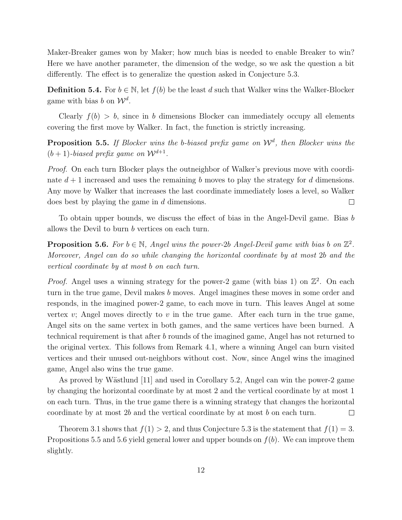Maker-Breaker games won by Maker; how much bias is needed to enable Breaker to win? Here we have another parameter, the dimension of the wedge, so we ask the question a bit differently. The effect is to generalize the question asked in Conjecture 5.3.

**Definition 5.4.** For  $b \in \mathbb{N}$ , let  $f(b)$  be the least d such that Walker wins the Walker-Blocker game with bias b on  $\mathcal{W}^d$ .

Clearly  $f(b) > b$ , since in b dimensions Blocker can immediately occupy all elements covering the first move by Walker. In fact, the function is strictly increasing.

**Proposition 5.5.** If Blocker wins the b-biased prefix game on  $\mathcal{W}^d$ , then Blocker wins the  $(b+1)$ -biased prefix game on  $\mathcal{W}^{d+1}$ .

*Proof.* On each turn Blocker plays the outneighbor of Walker's previous move with coordinate  $d+1$  increased and uses the remaining b moves to play the strategy for d dimensions. Any move by Walker that increases the last coordinate immediately loses a level, so Walker does best by playing the game in d dimensions.  $\Box$ 

To obtain upper bounds, we discuss the effect of bias in the Angel-Devil game. Bias b allows the Devil to burn b vertices on each turn.

**Proposition 5.6.** For  $b \in \mathbb{N}$ , Angel wins the power-2b Angel-Devil game with bias b on  $\mathbb{Z}^2$ . Moreover, Angel can do so while changing the horizontal coordinate by at most 2b and the vertical coordinate by at most b on each turn.

*Proof.* Angel uses a winning strategy for the power-2 game (with bias 1) on  $\mathbb{Z}^2$ . On each turn in the true game, Devil makes b moves. Angel imagines these moves in some order and responds, in the imagined power-2 game, to each move in turn. This leaves Angel at some vertex  $v$ ; Angel moves directly to  $v$  in the true game. After each turn in the true game, Angel sits on the same vertex in both games, and the same vertices have been burned. A technical requirement is that after b rounds of the imagined game, Angel has not returned to the original vertex. This follows from Remark 4.1, where a winning Angel can burn visited vertices and their unused out-neighbors without cost. Now, since Angel wins the imagined game, Angel also wins the true game.

As proved by Wästlund [11] and used in Corollary 5.2, Angel can win the power-2 game by changing the horizontal coordinate by at most 2 and the vertical coordinate by at most 1 on each turn. Thus, in the true game there is a winning strategy that changes the horizontal coordinate by at most 2b and the vertical coordinate by at most b on each turn.  $\Box$ 

Theorem 3.1 shows that  $f(1) > 2$ , and thus Conjecture 5.3 is the statement that  $f(1) = 3$ . Propositions 5.5 and 5.6 yield general lower and upper bounds on  $f(b)$ . We can improve them slightly.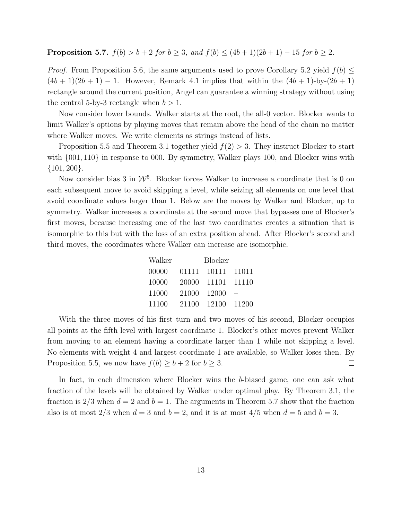**Proposition 5.7.**  $f(b) > b + 2$  for  $b ≥ 3$ , and  $f(b) ≤ (4b + 1)(2b + 1) - 15$  for  $b ≥ 2$ .

*Proof.* From Proposition 5.6, the same arguments used to prove Corollary 5.2 yield  $f(b) \leq$  $(4b+1)(2b+1) - 1$ . However, Remark 4.1 implies that within the  $(4b+1)$ -by- $(2b+1)$ rectangle around the current position, Angel can guarantee a winning strategy without using the central 5-by-3 rectangle when  $b > 1$ .

Now consider lower bounds. Walker starts at the root, the all-0 vector. Blocker wants to limit Walker's options by playing moves that remain above the head of the chain no matter where Walker moves. We write elements as strings instead of lists.

Proposition 5.5 and Theorem 3.1 together yield  $f(2) > 3$ . They instruct Blocker to start with  $\{001, 110\}$  in response to 000. By symmetry, Walker plays 100, and Blocker wins with  $\{101, 200\}.$ 

Now consider bias 3 in  $\mathcal{W}^5$ . Blocker forces Walker to increase a coordinate that is 0 on each subsequent move to avoid skipping a level, while seizing all elements on one level that avoid coordinate values larger than 1. Below are the moves by Walker and Blocker, up to symmetry. Walker increases a coordinate at the second move that bypasses one of Blocker's first moves, because increasing one of the last two coordinates creates a situation that is isomorphic to this but with the loss of an extra position ahead. After Blocker's second and third moves, the coordinates where Walker can increase are isomorphic.

| Walker | <b>Blocker</b> |       |        |
|--------|----------------|-------|--------|
| 00000  | 01111          | 10111 | 11011  |
| 10000  | 20000          | 11101 | 11110  |
| 11000  | 21000          | 12000 |        |
| 11100  | 21100          | 12100 | -11200 |

With the three moves of his first turn and two moves of his second, Blocker occupies all points at the fifth level with largest coordinate 1. Blocker's other moves prevent Walker from moving to an element having a coordinate larger than 1 while not skipping a level. No elements with weight 4 and largest coordinate 1 are available, so Walker loses then. By Proposition 5.5, we now have  $f(b) \ge b + 2$  for  $b \ge 3$ .  $\Box$ 

In fact, in each dimension where Blocker wins the b-biased game, one can ask what fraction of the levels will be obtained by Walker under optimal play. By Theorem 3.1, the fraction is  $2/3$  when  $d = 2$  and  $b = 1$ . The arguments in Theorem 5.7 show that the fraction also is at most  $2/3$  when  $d = 3$  and  $b = 2$ , and it is at most  $4/5$  when  $d = 5$  and  $b = 3$ .